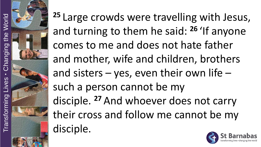**<sup>25</sup>** Large crowds were travelling with Jesus, and turning to them he said: **<sup>26</sup>** 'If anyone comes to me and does not hate father and mother, wife and children, brothers and sisters  $-$  yes, even their own life  $$ such a person cannot be my disciple. **<sup>27</sup>** And whoever does not carry their cross and follow me cannot be my disciple.

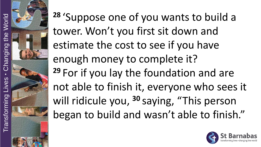

**<sup>28</sup>** 'Suppose one of you wants to build a tower. Won't you first sit down and estimate the cost to see if you have enough money to complete it? **<sup>29</sup>** For if you lay the foundation and are not able to finish it, everyone who sees it will ridicule you, **<sup>30</sup>** saying, "This person began to build and wasn't able to finish."

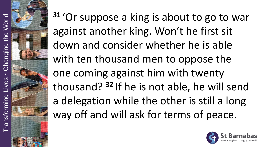

**<sup>31</sup>** 'Or suppose a king is about to go to war against another king. Won't he first sit down and consider whether he is able with ten thousand men to oppose the one coming against him with twenty thousand? **<sup>32</sup>** If he is not able, he will send a delegation while the other is still a long way off and will ask for terms of peace.

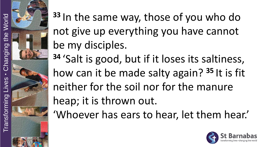**<sup>33</sup>** In the same way, those of you who do not give up everything you have cannot be my disciples. **<sup>34</sup>** 'Salt is good, but if it loses its saltiness, how can it be made salty again? **<sup>35</sup>** It is fit neither for the soil nor for the manure heap; it is thrown out. 'Whoever has ears to hear, let them hear.'

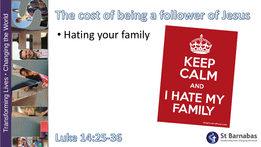

• Hating your family





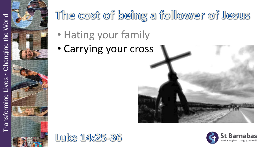

- Hating your family
- Carrying your cross





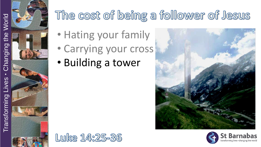

- Hating your family
- Carrying your cross
- Building a tower





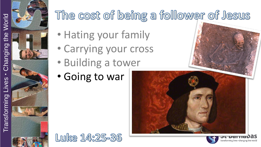

- Hating your family
- Carrying your cross
- Building a tower
- Going to war

Luke 14:25-36